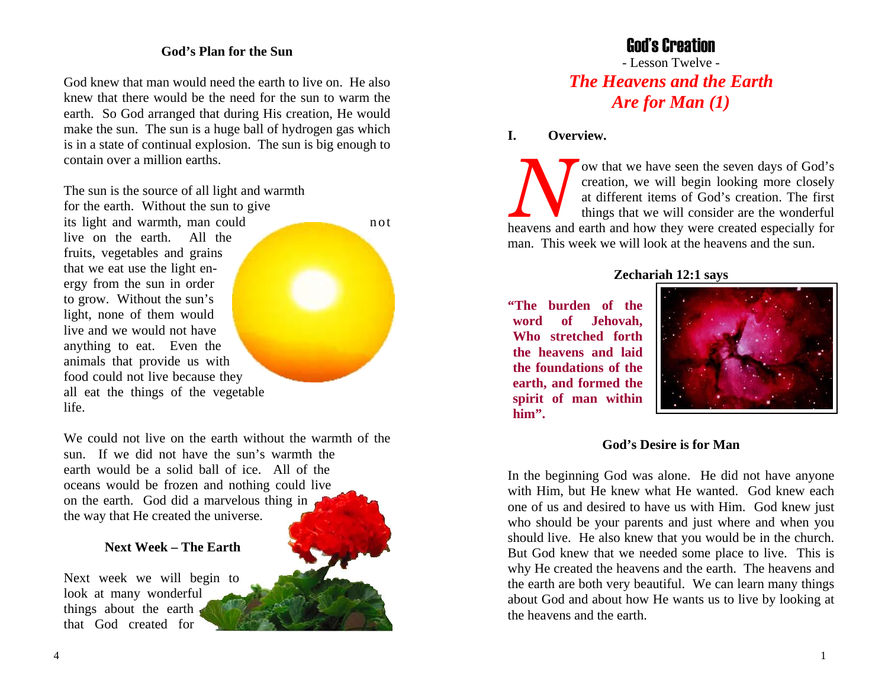## **God's Plan for the Sun**

God knew that man would need the earth to live on. He also knew that there would be the need for the sun to warm the earth. So God arranged that during His creation, He would make the sun. The sun is a huge ball of hydrogen gas which is in a state of continual explosion. The sun is big enough to contain over a million earths.

The sun is the source of all light and warmth

for the earth. Without the sun to give its light and warmth, man could not live on the earth. All the fruits, vegetables and grains that we eat use the light energy from the sun in order to grow. Without the sun's light, none of them would live and we would not have anything to eat. Even the animals that provide us with food could not live because they all eat the things of the vegetable life.

We could not live on the earth without the warmth of the sun. If we did not have the sun's warmth the earth would be a solid ball of ice. All of the oceans would be frozen and nothing could live on the earth. God did a marvelous thing in the way that He created the universe.

### **Next Week – The Earth**

Next week we will begin to look at many wonderful things about the earth that God created for



# God's Creation

- Lesson Twelve - *The Heavens and the Earth Are for Man (1)* 

**I. Overview.**

*N*ow that we have seen the seven days of God's creation, we will begin looking more closely at different items of God's creation. The first things that we will consider are the wonderful heavens and earth and how they were created especially for man. This week we will look at the heavens and the sun.

## **Zechariah 12:1 says**

**"The burden of the word of Jehovah, Who stretched forth the heavens and laid the foundations of the earth, and formed the spirit of man within him".**



### **God's Desire is for Man**

In the beginning God was alone. He did not have anyone with Him, but He knew what He wanted. God knew each one of us and desired to have us with Him. God knew just who should be your parents and just where and when you should live. He also knew that you would be in the church. But God knew that we needed some place to live. This is why He created the heavens and the earth. The heavens and the earth are both very beautiful. We can learn many things about God and about how He wants us to live by looking at the heavens and the earth.